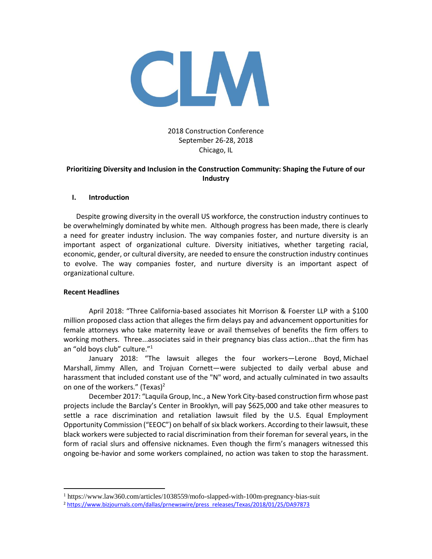

# 2018 Construction Conference September 26-28, 2018 Chicago, IL

# **Prioritizing Diversity and Inclusion in the Construction Community: Shaping the Future of our Industry**

### **I. Introduction**

Despite growing diversity in the overall US workforce, the construction industry continues to be overwhelmingly dominated by white men. Although progress has been made, there is clearly a need for greater industry inclusion. The way companies foster, and nurture diversity is an important aspect of organizational culture. Diversity initiatives, whether targeting racial, economic, gender, or cultural diversity, are needed to ensure the construction industry continues to evolve. The way companies foster, and nurture diversity is an important aspect of organizational culture.

#### **Recent Headlines**

 $\overline{a}$ 

April 2018: "Three California-based associates hit Morrison & Foerster LLP with a \$100 million proposed class action that alleges the firm delays pay and advancement opportunities for female attorneys who take maternity leave or avail themselves of benefits the firm offers to working mothers. Three...associates said in their pregnancy bias class action...that the firm has an "old boys club" culture."<sup>1</sup>

January 2018: "The lawsuit alleges the four workers—Lerone Boyd, Michael Marshall, Jimmy Allen, and Trojuan Cornett—were subjected to daily verbal abuse and harassment that included constant use of the "N" word, and actually culminated in two assaults on one of the workers." (Texas)<sup>2</sup>

December 2017: "Laquila Group, Inc., a New York City-based construction firm whose past projects include the Barclay's Center in Brooklyn, will pay \$625,000 and take other measures to settle a race discrimination and retaliation lawsuit filed by the U.S. Equal Employment Opportunity Commission ("EEOC") on behalf of six black workers. According to their lawsuit, these black workers were subjected to racial discrimination from their foreman for several years, in the form of racial slurs and offensive nicknames. Even though the firm's managers witnessed this ongoing be-havior and some workers complained, no action was taken to stop the harassment.

<sup>1</sup> https://www.law360.com/articles/1038559/mofo-slapped-with-100m-pregnancy-bias-suit

<sup>2</sup> [https://www.bizjournals.com/dallas/prnewswire/press\\_releases/Texas/2018/01/25/DA97873](https://www.bizjournals.com/dallas/prnewswire/press_releases/Texas/2018/01/25/DA97873)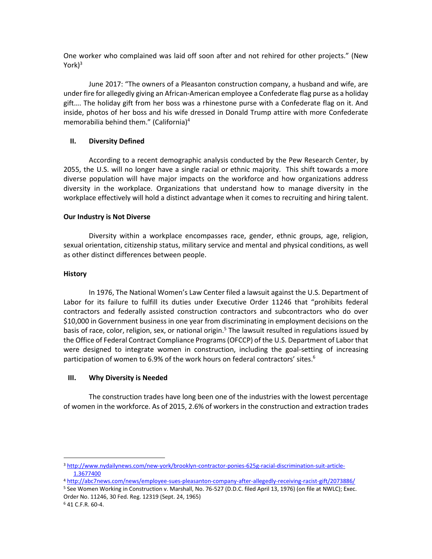One worker who complained was laid off soon after and not rehired for other projects." (New York $)^3$ 

June 2017: "The owners of a Pleasanton construction company, a husband and wife, are under fire for allegedly giving an African-American employee a Confederate flag purse as a holiday gift…. The holiday gift from her boss was a rhinestone purse with a Confederate flag on it. And inside, photos of her boss and his wife dressed in Donald Trump attire with more Confederate memorabilia behind them." (California)<sup>4</sup>

## **II. Diversity Defined**

According to a recent demographic analysis conducted by the Pew Research Center, by 2055, the U.S. will no longer have a single racial or ethnic majority. This shift towards a more diverse population will have major impacts on the workforce and how organizations address diversity in the workplace. Organizations that understand how to manage diversity in the workplace effectively will hold a distinct advantage when it comes to recruiting and hiring talent.

### **Our Industry is Not Diverse**

Diversity within a workplace encompasses race, gender, ethnic groups, age, religion, sexual orientation, citizenship status, military service and mental and physical conditions, as well as other distinct differences between people.

### **History**

In 1976, The National Women's Law Center filed a lawsuit against the U.S. Department of Labor for its failure to fulfill its duties under Executive Order 11246 that "prohibits federal contractors and federally assisted construction contractors and subcontractors who do over \$10,000 in Government business in one year from discriminating in employment decisions on the basis of race, color, religion, sex, or national origin.<sup>5</sup> The lawsuit resulted in regulations issued by the Office of Federal Contract Compliance Programs (OFCCP) of the U.S. Department of Labor that were designed to integrate women in construction, including the goal-setting of increasing participation of women to 6.9% of the work hours on federal contractors' sites.<sup>6</sup>

## **III. Why Diversity is Needed**

The construction trades have long been one of the industries with the lowest percentage of women in the workforce. As of 2015, 2.6% of workers in the construction and extraction trades

 $\overline{a}$ 

<sup>3</sup> [http://www.nydailynews.com/new-york/brooklyn-contractor-ponies-625g-racial-discrimination-suit-article-](http://www.nydailynews.com/new-york/brooklyn-contractor-ponies-625g-racial-discrimination-suit-article-1.3677400)[1.3677400](http://www.nydailynews.com/new-york/brooklyn-contractor-ponies-625g-racial-discrimination-suit-article-1.3677400)

<sup>4</sup> <http://abc7news.com/news/employee-sues-pleasanton-company-after-allegedly-receiving-racist-gift/2073886/>

<sup>5</sup> See Women Working in Construction v. Marshall, No. 76-527 (D.D.C. filed April 13, 1976) (on file at NWLC); Exec. Order No. 11246, 30 Fed. Reg. 12319 (Sept. 24, 1965)

<sup>6</sup> 41 C.F.R. 60-4.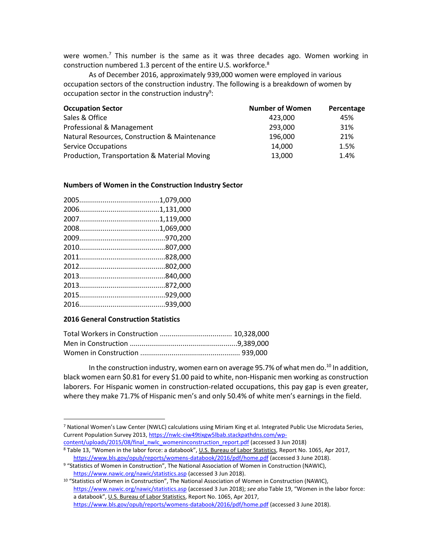were women.<sup>7</sup> This number is the same as it was three decades ago. Women working in construction numbered 1.3 percent of the entire U.S. workforce.<sup>8</sup>

As of December 2016, approximately 939,000 women were employed in various occupation sectors of the construction industry. The following is a breakdown of women by occupation sector in the construction industry<sup>9</sup>:

| <b>Occupation Sector</b>                      | <b>Number of Women</b> | Percentage |
|-----------------------------------------------|------------------------|------------|
| Sales & Office                                | 423.000                | 45%        |
| Professional & Management                     | 293,000                | 31%        |
| Natural Resources, Construction & Maintenance | 196,000                | 21%        |
| <b>Service Occupations</b>                    | 14,000                 | 1.5%       |
| Production, Transportation & Material Moving  | 13,000                 | 1.4%       |

#### **Numbers of Women in the Construction Industry Sector**

## **2016 General Construction Statistics**

 $\overline{a}$ 

In the construction industry, women earn on average 95.7% of what men do.<sup>10</sup> In addition, black women earn \$0.81 for every \$1.00 paid to white, non-Hispanic men working as construction laborers. For Hispanic women in construction-related occupations, this pay gap is even greater, where they make 71.7% of Hispanic men's and only 50.4% of white men's earnings in the field.

[content/uploads/2015/08/final\\_nwlc\\_womeninconstruction\\_report.pdf](https://nwlc-ciw49tixgw5lbab.stackpathdns.com/wp-content/uploads/2015/08/final_nwlc_womeninconstruction_report.pdf) (accessed 3 Jun 2018) <sup>8</sup> Table 13, "Women in the labor force: a databook", U.S. Bureau of Labor Statistics, Report No. 1065, Apr 2017,

<sup>7</sup> National Women's Law Center (NWLC) calculations using Miriam King et al. Integrated Public Use Microdata Series, Current Population Survey 2013, [https://nwlc-ciw49tixgw5lbab.stackpathdns.com/wp-](https://nwlc-ciw49tixgw5lbab.stackpathdns.com/wp-content/uploads/2015/08/final_nwlc_womeninconstruction_report.pdf)

<https://www.bls.gov/opub/reports/womens-databook/2016/pdf/home.pdf> (accessed 3 June 2018). <sup>9</sup> "Statistics of Women in Construction", The National Association of Women in Construction (NAWIC),

<https://www.nawic.org/nawic/statistics.asp> (accessed 3 Jun 2018).

<sup>10</sup> "Statistics of Women in Construction", The National Association of Women in Construction (NAWIC), <https://www.nawic.org/nawic/statistics.asp> (accessed 3 Jun 2018); *see also* Table 19, "Women in the labor force: a databook", U.S. Bureau of Labor Statistics, Report No. 1065, Apr 2017, <https://www.bls.gov/opub/reports/womens-databook/2016/pdf/home.pdf> (accessed 3 June 2018).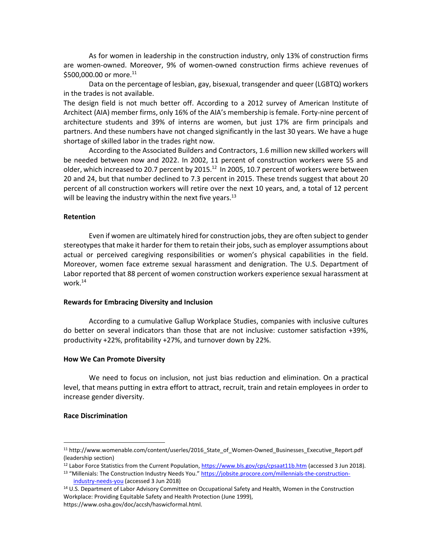As for women in leadership in the construction industry, only 13% of construction firms are women-owned. Moreover, 9% of women-owned construction firms achieve revenues of \$500,000,00 or more.<sup>11</sup>

Data on the percentage of lesbian, gay, bisexual, transgender and queer (LGBTQ) workers in the trades is not available.

The design field is not much better off. According to a 2012 survey of American Institute of Architect (AIA) member firms, only 16% of the AIA's membership is female. Forty-nine percent of architecture students and 39% of interns are women, but just 17% are firm principals and partners. And these numbers have not changed significantly in the last 30 years. We have a huge shortage of skilled labor in the trades right now.

According to the Associated Builders and Contractors, 1.6 million new skilled workers will be needed between now and 2022. In 2002, 11 percent of construction workers were 55 and older, which increased to 20.7 percent by 2015.<sup>12</sup> In 2005, 10.7 percent of workers were between 20 and 24, but that number declined to 7.3 percent in 2015. These trends suggest that about 20 percent of all construction workers will retire over the next 10 years, and, a total of 12 percent will be leaving the industry within the next five years. $^{13}$ 

#### **Retention**

Even if women are ultimately hired for construction jobs, they are often subject to gender stereotypes that make it harder for them to retain their jobs, such as employer assumptions about actual or perceived caregiving responsibilities or women's physical capabilities in the field. Moreover, women face extreme sexual harassment and denigration. The U.S. Department of Labor reported that 88 percent of women construction workers experience sexual harassment at work.<sup>14</sup>

#### **Rewards for Embracing Diversity and Inclusion**

According to a cumulative Gallup Workplace Studies, companies with inclusive cultures do better on several indicators than those that are not inclusive: customer satisfaction +39%, productivity +22%, profitability +27%, and turnover down by 22%.

#### **How We Can Promote Diversity**

We need to focus on inclusion, not just bias reduction and elimination. On a practical level, that means putting in extra effort to attract, recruit, train and retain employees in order to increase gender diversity.

#### **Race Discrimination**

 $\overline{a}$ 

<sup>&</sup>lt;sup>11</sup> http://www.womenable.com/content/userles/2016 State of Women-Owned Businesses Executive Report.pdf (leadership section)

<sup>&</sup>lt;sup>12</sup> Labor Force Statistics from the Current Population,<https://www.bls.gov/cps/cpsaat11b.htm> (accessed 3 Jun 2018). 13 "Millenials: The Construction Industry Needs You." [https://jobsite.procore.com/millennials-the-construction-](https://jobsite.procore.com/millennials-the-construction-industry-needs-you)

[industry-needs-you](https://jobsite.procore.com/millennials-the-construction-industry-needs-you) (accessed 3 Jun 2018)

<sup>14</sup> U.S. Department of Labor Advisory Committee on Occupational Safety and Health, Women in the Construction Workplace: Providing Equitable Safety and Health Protection (June 1999),

https://www.osha.gov/doc/accsh/haswicformal.html.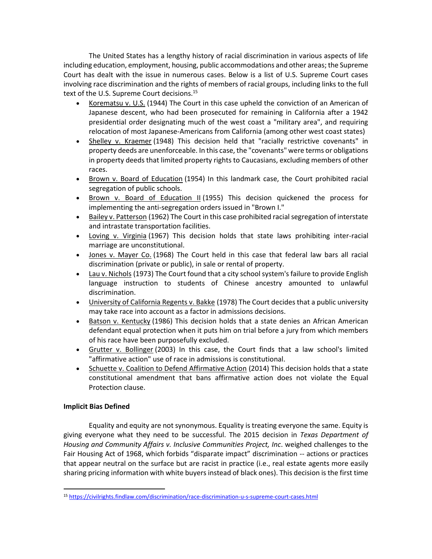The United States has a lengthy history of racial discrimination in various aspects of life including education, employment, housing, public accommodations and other areas; the Supreme Court has dealt with the issue in numerous cases. Below is a list of U.S. Supreme Court cases involving race discrimination and the rights of members of racial groups, including links to the full text of the U.S. Supreme Court decisions.<sup>15</sup>

- [Korematsu v. U.S.](https://caselaw.findlaw.com/us-supreme-court/323/214.html) (1944) The Court in this case upheld the conviction of an American of Japanese descent, who had been prosecuted for remaining in California after a 1942 presidential order designating much of the west coast a "military area", and requiring relocation of most Japanese-Americans from California (among other west coast states)
- [Shelley v. Kraemer](https://caselaw.findlaw.com/us-supreme-court/334/1.html) (1948) This decision held that "racially restrictive covenants" in property deeds are unenforceable. In this case, the "covenants" were terms or obligations in property deeds that limited property rights to Caucasians, excluding members of other races.
- [Brown v. Board of Education](https://caselaw.findlaw.com/us-supreme-court/347/483.html) (1954) In this landmark case, the Court prohibited racial segregation of public schools.
- [Brown v. Board of Education II](https://caselaw.findlaw.com/us-supreme-court/349/294.html) (1955) This decision quickened the process for implementing the anti-segregation orders issued in "Brown I."
- [Bailey v. Patterson](https://caselaw.findlaw.com/us-supreme-court/369/31.html) (1962) The Court in this case prohibited racial segregation of interstate and intrastate transportation facilities.
- [Loving v. Virginia](https://caselaw.findlaw.com/us-supreme-court/388/1.html) (1967) This decision holds that state laws prohibiting inter-racial marriage are unconstitutional.
- [Jones v. Mayer Co.](https://caselaw.findlaw.com/us-supreme-court/392/409.html) (1968) The Court held in this case that federal law bars all racial discrimination (private or public), in sale or rental of property.
- [Lau v. Nichols](https://caselaw.findlaw.com/us-supreme-court/414/563.html) (1973) The Court found that a city school system's failure to provide English language instruction to students of Chinese ancestry amounted to unlawful discrimination.
- [University of California Regents v. Bakke](https://caselaw.findlaw.com/us-supreme-court/438/265.html) (1978) The Court decides that a public university may take race into account as a factor in admissions decisions.
- [Batson v. Kentucky](https://caselaw.findlaw.com/us-supreme-court/476/79.html) (1986) This decision holds that a state denies an African American defendant equal protection when it puts him on trial before a jury from which members of his race have been purposefully excluded.
- [Grutter v. Bollinger](https://caselaw.findlaw.com/us-supreme-court/539/306.html) (2003) In this case, the Court finds that a law school's limited "affirmative action" use of race in admissions is constitutional.
- [Schuette v. Coalition to Defend Affirmative Action](https://caselaw.findlaw.com/us-supreme-court/12-682.html) (2014) This decision holds that a state constitutional amendment that bans affirmative action does not violate the Equal Protection clause.

# **Implicit Bias Defined**

 $\overline{a}$ 

Equality and equity are not synonymous. Equality is treating everyone the same. Equity is giving everyone what they need to be successful. The 2015 decision in *Texas Department of Housing and Community Affairs v. Inclusive Communities Project, Inc*. weighed challenges to the Fair Housing Act of 1968, which forbids "disparate impact" discrimination -- actions or practices that appear neutral on the surface but are racist in practice (i.e., real estate agents more easily sharing pricing information with white buyers instead of black ones). This decision is the first time

<sup>15</sup> <https://civilrights.findlaw.com/discrimination/race-discrimination-u-s-supreme-court-cases.html>